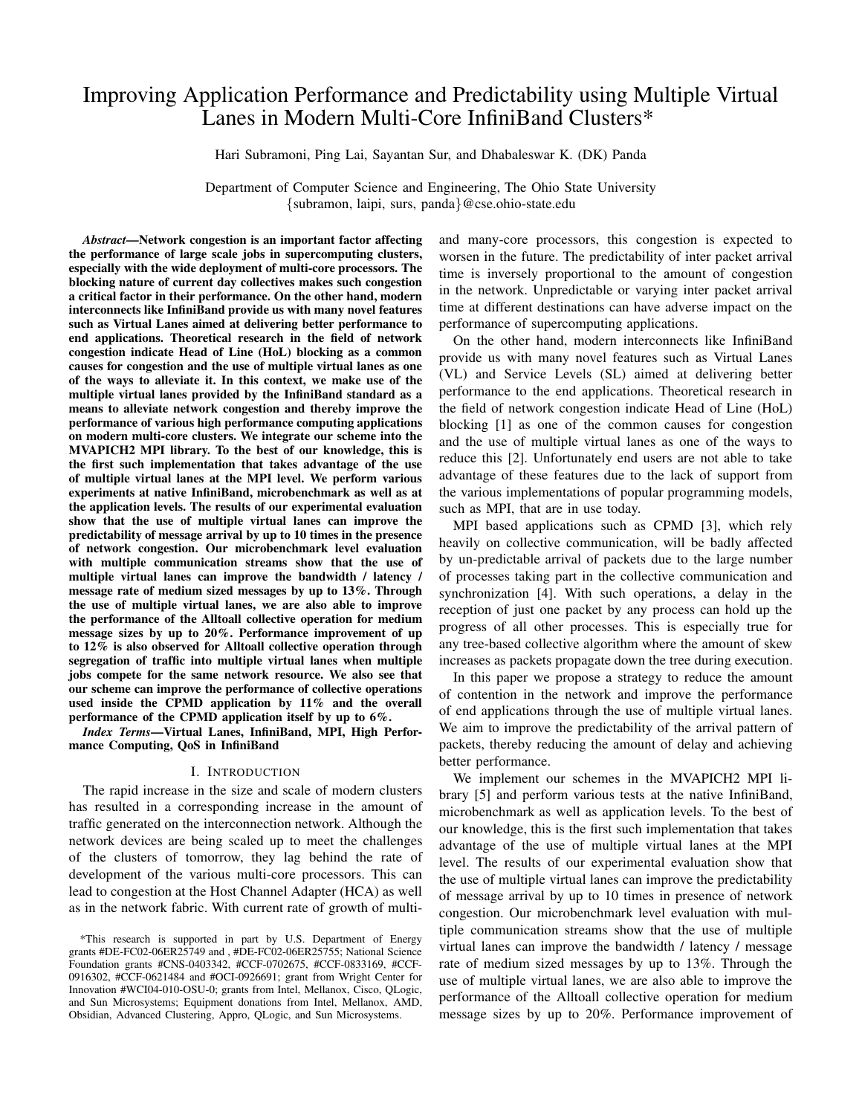# Improving Application Performance and Predictability using Multiple Virtual Lanes in Modern Multi-Core InfiniBand Clusters\*

Hari Subramoni, Ping Lai, Sayantan Sur, and Dhabaleswar K. (DK) Panda

Department of Computer Science and Engineering, The Ohio State University {subramon, laipi, surs, panda}@cse.ohio-state.edu

*Abstract***—Network congestion is an important factor affecting the performance of large scale jobs in supercomputing clusters, especially with the wide deployment of multi-core processors. The blocking nature of current day collectives makes such congestion a critical factor in their performance. On the other hand, modern interconnects like InfiniBand provide us with many novel features such as Virtual Lanes aimed at delivering better performance to end applications. Theoretical research in the field of network congestion indicate Head of Line (HoL) blocking as a common causes for congestion and the use of multiple virtual lanes as one of the ways to alleviate it. In this context, we make use of the multiple virtual lanes provided by the InfiniBand standard as a means to alleviate network congestion and thereby improve the performance of various high performance computing applications on modern multi-core clusters. We integrate our scheme into the MVAPICH2 MPI library. To the best of our knowledge, this is the first such implementation that takes advantage of the use of multiple virtual lanes at the MPI level. We perform various experiments at native InfiniBand, microbenchmark as well as at the application levels. The results of our experimental evaluation show that the use of multiple virtual lanes can improve the predictability of message arrival by up to 10 times in the presence of network congestion. Our microbenchmark level evaluation with multiple communication streams show that the use of multiple virtual lanes can improve the bandwidth / latency / message rate of medium sized messages by up to 13%. Through the use of multiple virtual lanes, we are also able to improve the performance of the Alltoall collective operation for medium message sizes by up to 20%. Performance improvement of up to 12% is also observed for Alltoall collective operation through segregation of traffic into multiple virtual lanes when multiple jobs compete for the same network resource. We also see that our scheme can improve the performance of collective operations used inside the CPMD application by 11% and the overall performance of the CPMD application itself by up to 6%.**

*Index Terms***—Virtual Lanes, InfiniBand, MPI, High Performance Computing, QoS in InfiniBand**

## I. INTRODUCTION

The rapid increase in the size and scale of modern clusters has resulted in a corresponding increase in the amount of traffic generated on the interconnection network. Although the network devices are being scaled up to meet the challenges of the clusters of tomorrow, they lag behind the rate of development of the various multi-core processors. This can lead to congestion at the Host Channel Adapter (HCA) as well as in the network fabric. With current rate of growth of multi-

\*This research is supported in part by U.S. Department of Energy grants #DE-FC02-06ER25749 and , #DE-FC02-06ER25755; National Science Foundation grants #CNS-0403342, #CCF-0702675, #CCF-0833169, #CCF-0916302, #CCF-0621484 and #OCI-0926691; grant from Wright Center for Innovation #WCI04-010-OSU-0; grants from Intel, Mellanox, Cisco, QLogic, and Sun Microsystems; Equipment donations from Intel, Mellanox, AMD, Obsidian, Advanced Clustering, Appro, QLogic, and Sun Microsystems.

and many-core processors, this congestion is expected to worsen in the future. The predictability of inter packet arrival time is inversely proportional to the amount of congestion in the network. Unpredictable or varying inter packet arrival time at different destinations can have adverse impact on the performance of supercomputing applications.

On the other hand, modern interconnects like InfiniBand provide us with many novel features such as Virtual Lanes (VL) and Service Levels (SL) aimed at delivering better performance to the end applications. Theoretical research in the field of network congestion indicate Head of Line (HoL) blocking [1] as one of the common causes for congestion and the use of multiple virtual lanes as one of the ways to reduce this [2]. Unfortunately end users are not able to take advantage of these features due to the lack of support from the various implementations of popular programming models, such as MPI, that are in use today.

MPI based applications such as CPMD [3], which rely heavily on collective communication, will be badly affected by un-predictable arrival of packets due to the large number of processes taking part in the collective communication and synchronization [4]. With such operations, a delay in the reception of just one packet by any process can hold up the progress of all other processes. This is especially true for any tree-based collective algorithm where the amount of skew increases as packets propagate down the tree during execution.

In this paper we propose a strategy to reduce the amount of contention in the network and improve the performance of end applications through the use of multiple virtual lanes. We aim to improve the predictability of the arrival pattern of packets, thereby reducing the amount of delay and achieving better performance.

We implement our schemes in the MVAPICH2 MPI library [5] and perform various tests at the native InfiniBand, microbenchmark as well as application levels. To the best of our knowledge, this is the first such implementation that takes advantage of the use of multiple virtual lanes at the MPI level. The results of our experimental evaluation show that the use of multiple virtual lanes can improve the predictability of message arrival by up to 10 times in presence of network congestion. Our microbenchmark level evaluation with multiple communication streams show that the use of multiple virtual lanes can improve the bandwidth / latency / message rate of medium sized messages by up to 13%. Through the use of multiple virtual lanes, we are also able to improve the performance of the Alltoall collective operation for medium message sizes by up to 20%. Performance improvement of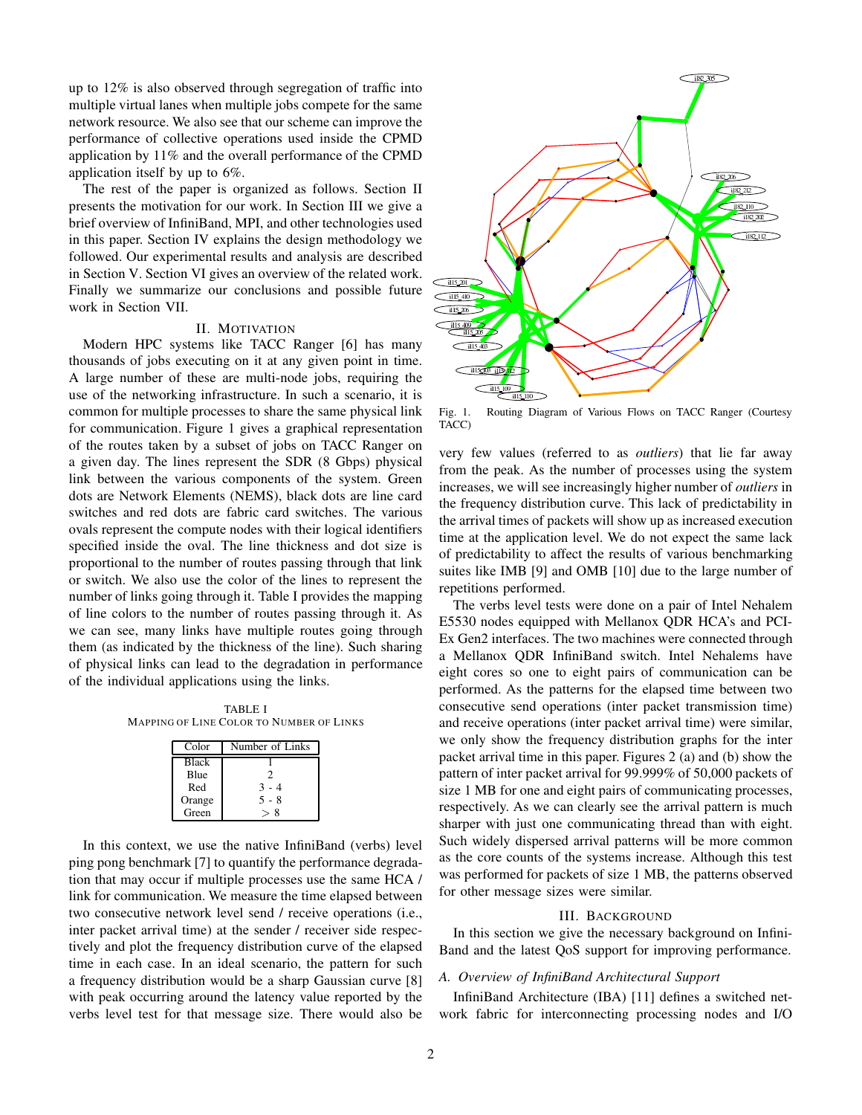up to 12% is also observed through segregation of traffic into multiple virtual lanes when multiple jobs compete for the same network resource. We also see that our scheme can improve the performance of collective operations used inside the CPMD application by 11% and the overall performance of the CPMD application itself by up to 6%.

The rest of the paper is organized as follows. Section II presents the motivation for our work. In Section III we give a brief overview of InfiniBand, MPI, and other technologies used in this paper. Section IV explains the design methodology we followed. Our experimental results and analysis are described in Section V. Section VI gives an overview of the related work. Finally we summarize our conclusions and possible future work in Section VII.

#### II. MOTIVATION

Modern HPC systems like TACC Ranger [6] has many thousands of jobs executing on it at any given point in time. A large number of these are multi-node jobs, requiring the use of the networking infrastructure. In such a scenario, it is common for multiple processes to share the same physical link for communication. Figure 1 gives a graphical representation of the routes taken by a subset of jobs on TACC Ranger on a given day. The lines represent the SDR (8 Gbps) physical link between the various components of the system. Green dots are Network Elements (NEMS), black dots are line card switches and red dots are fabric card switches. The various ovals represent the compute nodes with their logical identifiers specified inside the oval. The line thickness and dot size is proportional to the number of routes passing through that link or switch. We also use the color of the lines to represent the number of links going through it. Table I provides the mapping of line colors to the number of routes passing through it. As we can see, many links have multiple routes going through them (as indicated by the thickness of the line). Such sharing of physical links can lead to the degradation in performance of the individual applications using the links.

TABLE I MAPPING OF LINE COLOR TO NUMBER OF LINKS

| Color        | Number of Links |
|--------------|-----------------|
| <b>Black</b> |                 |
| <b>Blue</b>  | 2               |
| Red          |                 |
| Orange       | 5 - 8           |
| Green        |                 |

In this context, we use the native InfiniBand (verbs) level ping pong benchmark [7] to quantify the performance degradation that may occur if multiple processes use the same HCA / link for communication. We measure the time elapsed between two consecutive network level send / receive operations (i.e., inter packet arrival time) at the sender / receiver side respectively and plot the frequency distribution curve of the elapsed time in each case. In an ideal scenario, the pattern for such a frequency distribution would be a sharp Gaussian curve [8] with peak occurring around the latency value reported by the verbs level test for that message size. There would also be



Fig. 1. Routing Diagram of Various Flows on TACC Ranger (Courtesy TACC)

very few values (referred to as *outliers*) that lie far away from the peak. As the number of processes using the system increases, we will see increasingly higher number of *outliers* in the frequency distribution curve. This lack of predictability in the arrival times of packets will show up as increased execution time at the application level. We do not expect the same lack of predictability to affect the results of various benchmarking suites like IMB [9] and OMB [10] due to the large number of repetitions performed.

The verbs level tests were done on a pair of Intel Nehalem E5530 nodes equipped with Mellanox QDR HCA's and PCI-Ex Gen2 interfaces. The two machines were connected through a Mellanox QDR InfiniBand switch. Intel Nehalems have eight cores so one to eight pairs of communication can be performed. As the patterns for the elapsed time between two consecutive send operations (inter packet transmission time) and receive operations (inter packet arrival time) were similar, we only show the frequency distribution graphs for the inter packet arrival time in this paper. Figures 2 (a) and (b) show the pattern of inter packet arrival for 99.999% of 50,000 packets of size 1 MB for one and eight pairs of communicating processes, respectively. As we can clearly see the arrival pattern is much sharper with just one communicating thread than with eight. Such widely dispersed arrival patterns will be more common as the core counts of the systems increase. Although this test was performed for packets of size 1 MB, the patterns observed for other message sizes were similar.

#### III. BACKGROUND

In this section we give the necessary background on Infini-Band and the latest QoS support for improving performance.

# *A. Overview of InfiniBand Architectural Support*

InfiniBand Architecture (IBA) [11] defines a switched network fabric for interconnecting processing nodes and I/O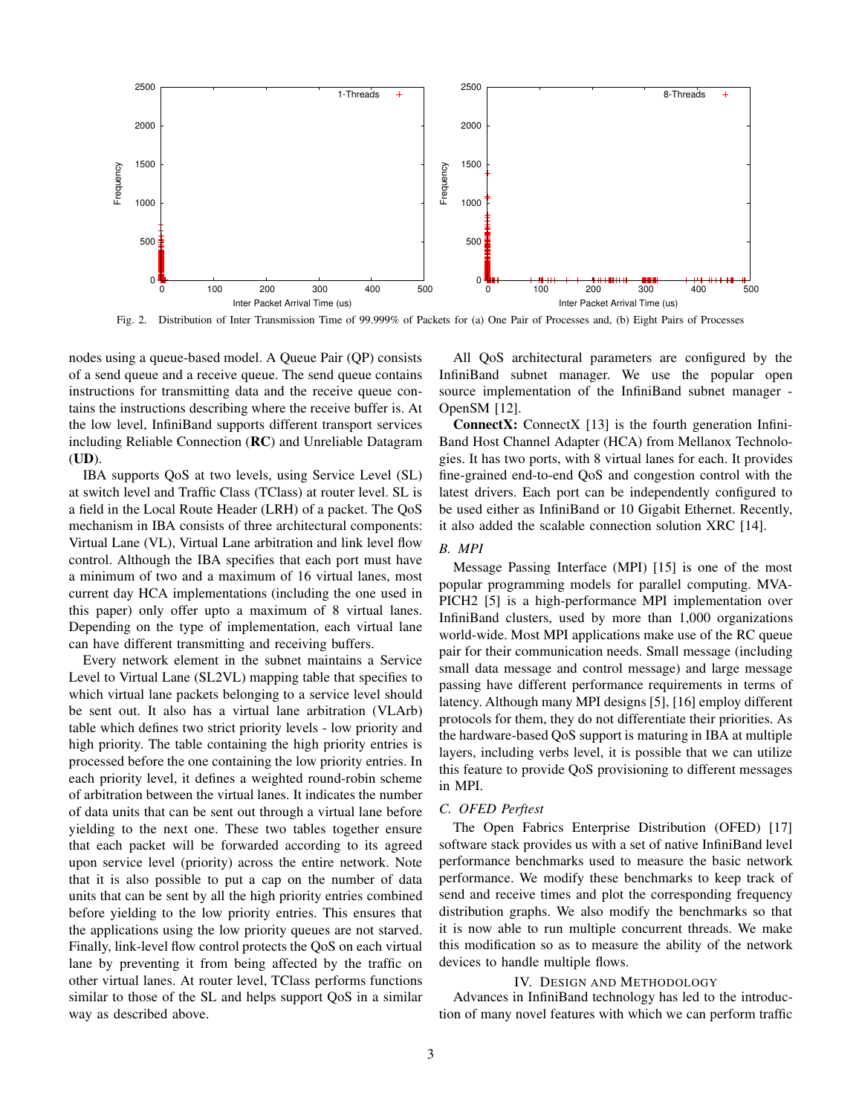

Fig. 2. Distribution of Inter Transmission Time of 99.999% of Packets for (a) One Pair of Processes and, (b) Eight Pairs of Processes

nodes using a queue-based model. A Queue Pair (QP) consists of a send queue and a receive queue. The send queue contains instructions for transmitting data and the receive queue contains the instructions describing where the receive buffer is. At the low level, InfiniBand supports different transport services including Reliable Connection (**RC**) and Unreliable Datagram (**UD**).

IBA supports QoS at two levels, using Service Level (SL) at switch level and Traffic Class (TClass) at router level. SL is a field in the Local Route Header (LRH) of a packet. The QoS mechanism in IBA consists of three architectural components: Virtual Lane (VL), Virtual Lane arbitration and link level flow control. Although the IBA specifies that each port must have a minimum of two and a maximum of 16 virtual lanes, most current day HCA implementations (including the one used in this paper) only offer upto a maximum of 8 virtual lanes. Depending on the type of implementation, each virtual lane can have different transmitting and receiving buffers.

Every network element in the subnet maintains a Service Level to Virtual Lane (SL2VL) mapping table that specifies to which virtual lane packets belonging to a service level should be sent out. It also has a virtual lane arbitration (VLArb) table which defines two strict priority levels - low priority and high priority. The table containing the high priority entries is processed before the one containing the low priority entries. In each priority level, it defines a weighted round-robin scheme of arbitration between the virtual lanes. It indicates the number of data units that can be sent out through a virtual lane before yielding to the next one. These two tables together ensure that each packet will be forwarded according to its agreed upon service level (priority) across the entire network. Note that it is also possible to put a cap on the number of data units that can be sent by all the high priority entries combined before yielding to the low priority entries. This ensures that the applications using the low priority queues are not starved. Finally, link-level flow control protects the QoS on each virtual lane by preventing it from being affected by the traffic on other virtual lanes. At router level, TClass performs functions similar to those of the SL and helps support QoS in a similar way as described above.

All QoS architectural parameters are configured by the InfiniBand subnet manager. We use the popular open source implementation of the InfiniBand subnet manager - OpenSM [12].

**ConnectX:** ConnectX [13] is the fourth generation Infini-Band Host Channel Adapter (HCA) from Mellanox Technologies. It has two ports, with 8 virtual lanes for each. It provides fine-grained end-to-end QoS and congestion control with the latest drivers. Each port can be independently configured to be used either as InfiniBand or 10 Gigabit Ethernet. Recently, it also added the scalable connection solution XRC [14].

## *B. MPI*

Message Passing Interface (MPI) [15] is one of the most popular programming models for parallel computing. MVA-PICH2 [5] is a high-performance MPI implementation over InfiniBand clusters, used by more than 1,000 organizations world-wide. Most MPI applications make use of the RC queue pair for their communication needs. Small message (including small data message and control message) and large message passing have different performance requirements in terms of latency. Although many MPI designs [5], [16] employ different protocols for them, they do not differentiate their priorities. As the hardware-based QoS support is maturing in IBA at multiple layers, including verbs level, it is possible that we can utilize this feature to provide QoS provisioning to different messages in MPI.

#### *C. OFED Perftest*

The Open Fabrics Enterprise Distribution (OFED) [17] software stack provides us with a set of native InfiniBand level performance benchmarks used to measure the basic network performance. We modify these benchmarks to keep track of send and receive times and plot the corresponding frequency distribution graphs. We also modify the benchmarks so that it is now able to run multiple concurrent threads. We make this modification so as to measure the ability of the network devices to handle multiple flows.

#### IV. DESIGN AND METHODOLOGY

Advances in InfiniBand technology has led to the introduction of many novel features with which we can perform traffic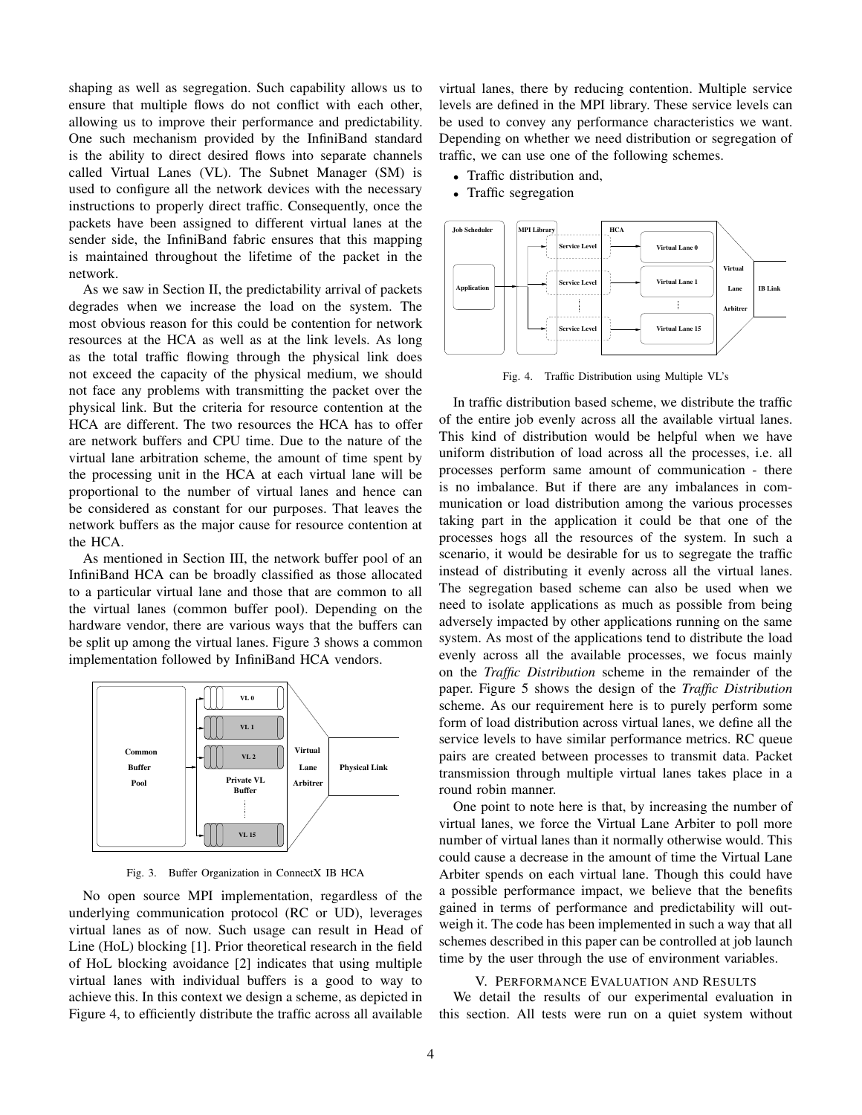shaping as well as segregation. Such capability allows us to ensure that multiple flows do not conflict with each other, allowing us to improve their performance and predictability. One such mechanism provided by the InfiniBand standard is the ability to direct desired flows into separate channels called Virtual Lanes (VL). The Subnet Manager (SM) is used to configure all the network devices with the necessary instructions to properly direct traffic. Consequently, once the packets have been assigned to different virtual lanes at the sender side, the InfiniBand fabric ensures that this mapping is maintained throughout the lifetime of the packet in the network.

As we saw in Section II, the predictability arrival of packets degrades when we increase the load on the system. The most obvious reason for this could be contention for network resources at the HCA as well as at the link levels. As long as the total traffic flowing through the physical link does not exceed the capacity of the physical medium, we should not face any problems with transmitting the packet over the physical link. But the criteria for resource contention at the HCA are different. The two resources the HCA has to offer are network buffers and CPU time. Due to the nature of the virtual lane arbitration scheme, the amount of time spent by the processing unit in the HCA at each virtual lane will be proportional to the number of virtual lanes and hence can be considered as constant for our purposes. That leaves the network buffers as the major cause for resource contention at the HCA.

As mentioned in Section III, the network buffer pool of an InfiniBand HCA can be broadly classified as those allocated to a particular virtual lane and those that are common to all the virtual lanes (common buffer pool). Depending on the hardware vendor, there are various ways that the buffers can be split up among the virtual lanes. Figure 3 shows a common implementation followed by InfiniBand HCA vendors.



Fig. 3. Buffer Organization in ConnectX IB HCA

No open source MPI implementation, regardless of the underlying communication protocol (RC or UD), leverages virtual lanes as of now. Such usage can result in Head of Line (HoL) blocking [1]. Prior theoretical research in the field of HoL blocking avoidance [2] indicates that using multiple virtual lanes with individual buffers is a good to way to achieve this. In this context we design a scheme, as depicted in Figure 4, to efficiently distribute the traffic across all available

virtual lanes, there by reducing contention. Multiple service levels are defined in the MPI library. These service levels can be used to convey any performance characteristics we want. Depending on whether we need distribution or segregation of traffic, we can use one of the following schemes.

- Traffic distribution and,
- Traffic segregation



Fig. 4. Traffic Distribution using Multiple VL's

In traffic distribution based scheme, we distribute the traffic of the entire job evenly across all the available virtual lanes. This kind of distribution would be helpful when we have uniform distribution of load across all the processes, i.e. all processes perform same amount of communication - there is no imbalance. But if there are any imbalances in communication or load distribution among the various processes taking part in the application it could be that one of the processes hogs all the resources of the system. In such a scenario, it would be desirable for us to segregate the traffic instead of distributing it evenly across all the virtual lanes. The segregation based scheme can also be used when we need to isolate applications as much as possible from being adversely impacted by other applications running on the same system. As most of the applications tend to distribute the load evenly across all the available processes, we focus mainly on the *Traffic Distribution* scheme in the remainder of the paper. Figure 5 shows the design of the *Traffic Distribution* scheme. As our requirement here is to purely perform some form of load distribution across virtual lanes, we define all the service levels to have similar performance metrics. RC queue pairs are created between processes to transmit data. Packet transmission through multiple virtual lanes takes place in a round robin manner.

One point to note here is that, by increasing the number of virtual lanes, we force the Virtual Lane Arbiter to poll more number of virtual lanes than it normally otherwise would. This could cause a decrease in the amount of time the Virtual Lane Arbiter spends on each virtual lane. Though this could have a possible performance impact, we believe that the benefits gained in terms of performance and predictability will outweigh it. The code has been implemented in such a way that all schemes described in this paper can be controlled at job launch time by the user through the use of environment variables.

## V. PERFORMANCE EVALUATION AND RESULTS

We detail the results of our experimental evaluation in this section. All tests were run on a quiet system without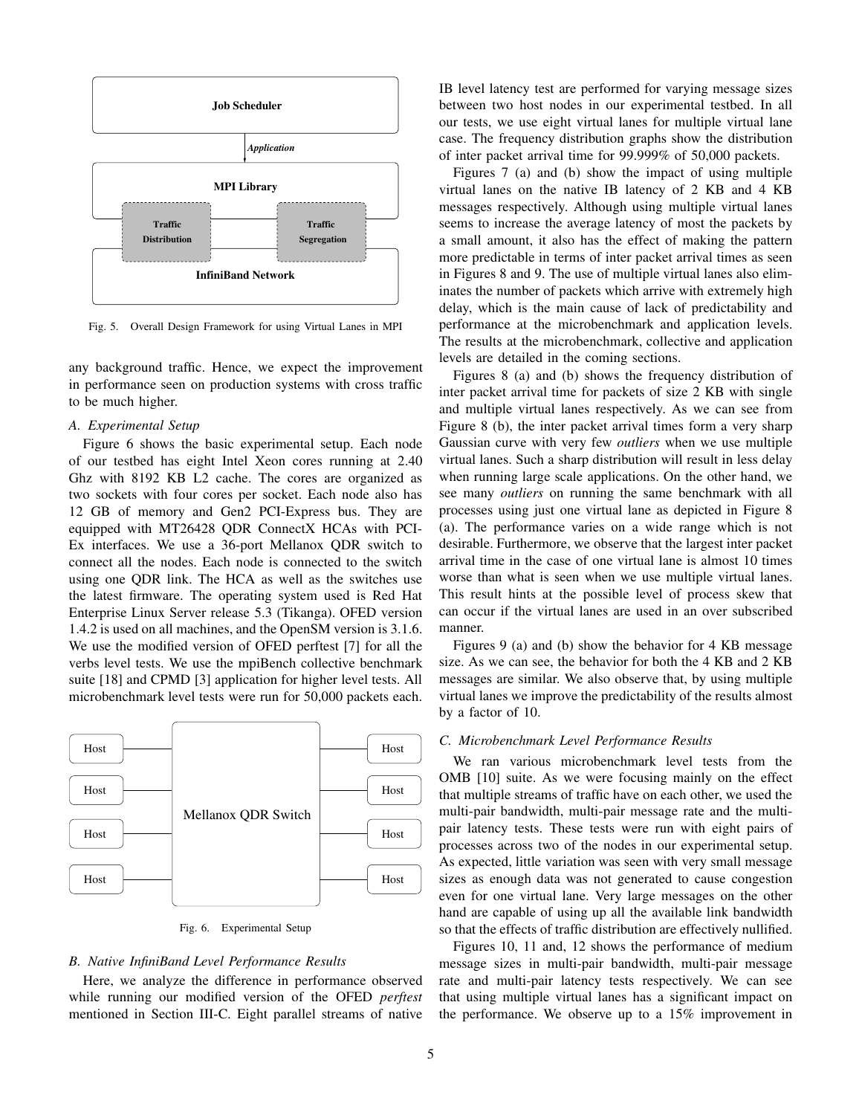

Fig. 5. Overall Design Framework for using Virtual Lanes in MPI

any background traffic. Hence, we expect the improvement in performance seen on production systems with cross traffic to be much higher.

#### *A. Experimental Setup*

Figure 6 shows the basic experimental setup. Each node of our testbed has eight Intel Xeon cores running at 2.40 Ghz with 8192 KB L2 cache. The cores are organized as two sockets with four cores per socket. Each node also has 12 GB of memory and Gen2 PCI-Express bus. They are equipped with MT26428 QDR ConnectX HCAs with PCI-Ex interfaces. We use a 36-port Mellanox QDR switch to connect all the nodes. Each node is connected to the switch using one QDR link. The HCA as well as the switches use the latest firmware. The operating system used is Red Hat Enterprise Linux Server release 5.3 (Tikanga). OFED version 1.4.2 is used on all machines, and the OpenSM version is 3.1.6. We use the modified version of OFED perftest [7] for all the verbs level tests. We use the mpiBench collective benchmark suite [18] and CPMD [3] application for higher level tests. All microbenchmark level tests were run for 50,000 packets each.



Fig. 6. Experimental Setup

## *B. Native InfiniBand Level Performance Results*

Here, we analyze the difference in performance observed while running our modified version of the OFED *perftest* mentioned in Section III-C. Eight parallel streams of native IB level latency test are performed for varying message sizes between two host nodes in our experimental testbed. In all our tests, we use eight virtual lanes for multiple virtual lane case. The frequency distribution graphs show the distribution of inter packet arrival time for 99.999% of 50,000 packets.

Figures 7 (a) and (b) show the impact of using multiple virtual lanes on the native IB latency of 2 KB and 4 KB messages respectively. Although using multiple virtual lanes seems to increase the average latency of most the packets by a small amount, it also has the effect of making the pattern more predictable in terms of inter packet arrival times as seen in Figures 8 and 9. The use of multiple virtual lanes also eliminates the number of packets which arrive with extremely high delay, which is the main cause of lack of predictability and performance at the microbenchmark and application levels. The results at the microbenchmark, collective and application levels are detailed in the coming sections.

Figures 8 (a) and (b) shows the frequency distribution of inter packet arrival time for packets of size 2 KB with single and multiple virtual lanes respectively. As we can see from Figure 8 (b), the inter packet arrival times form a very sharp Gaussian curve with very few *outliers* when we use multiple virtual lanes. Such a sharp distribution will result in less delay when running large scale applications. On the other hand, we see many *outliers* on running the same benchmark with all processes using just one virtual lane as depicted in Figure 8 (a). The performance varies on a wide range which is not desirable. Furthermore, we observe that the largest inter packet arrival time in the case of one virtual lane is almost 10 times worse than what is seen when we use multiple virtual lanes. This result hints at the possible level of process skew that can occur if the virtual lanes are used in an over subscribed manner.

Figures 9 (a) and (b) show the behavior for 4 KB message size. As we can see, the behavior for both the 4 KB and 2 KB messages are similar. We also observe that, by using multiple virtual lanes we improve the predictability of the results almost by a factor of 10.

# *C. Microbenchmark Level Performance Results*

We ran various microbenchmark level tests from the OMB [10] suite. As we were focusing mainly on the effect that multiple streams of traffic have on each other, we used the multi-pair bandwidth, multi-pair message rate and the multipair latency tests. These tests were run with eight pairs of processes across two of the nodes in our experimental setup. As expected, little variation was seen with very small message sizes as enough data was not generated to cause congestion even for one virtual lane. Very large messages on the other hand are capable of using up all the available link bandwidth so that the effects of traffic distribution are effectively nullified.

Figures 10, 11 and, 12 shows the performance of medium message sizes in multi-pair bandwidth, multi-pair message rate and multi-pair latency tests respectively. We can see that using multiple virtual lanes has a significant impact on the performance. We observe up to a 15% improvement in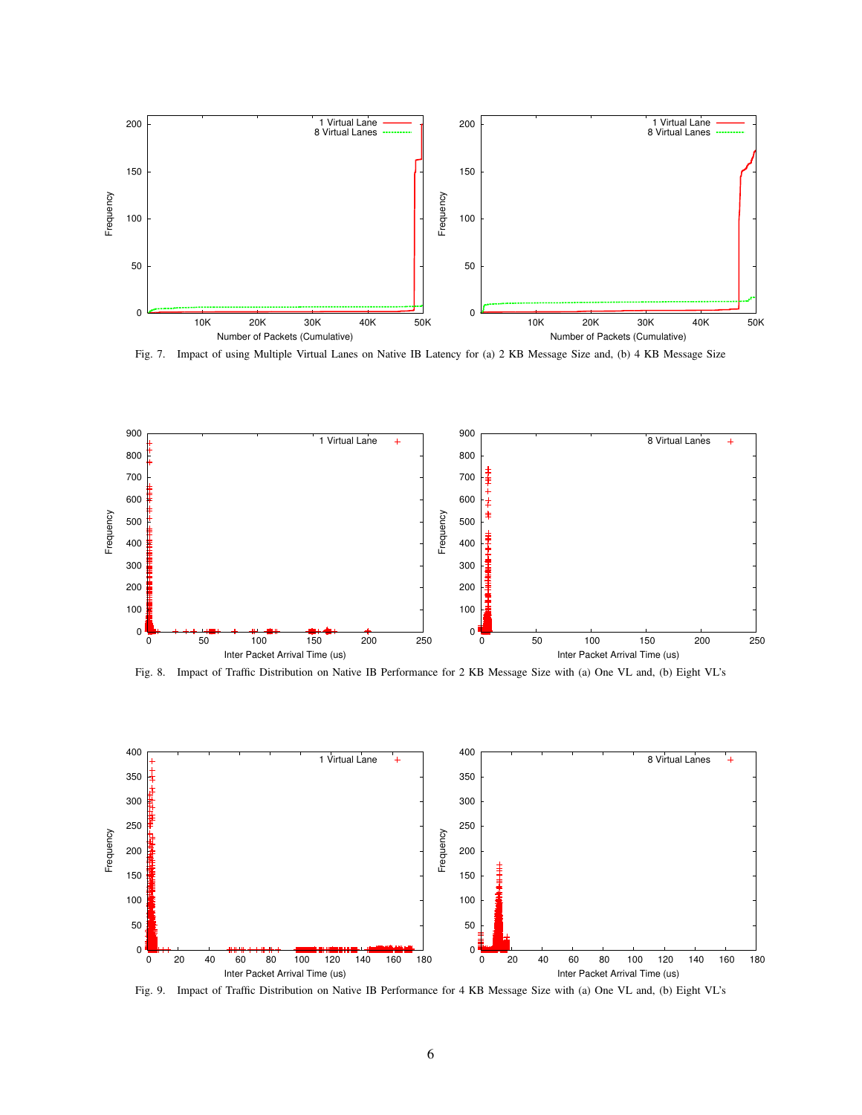

Fig. 7. Impact of using Multiple Virtual Lanes on Native IB Latency for (a) 2 KB Message Size and, (b) 4 KB Message Size



Fig. 8. Impact of Traffic Distribution on Native IB Performance for 2 KB Message Size with (a) One VL and, (b) Eight VL's



Fig. 9. Impact of Traffic Distribution on Native IB Performance for 4 KB Message Size with (a) One VL and, (b) Eight VL's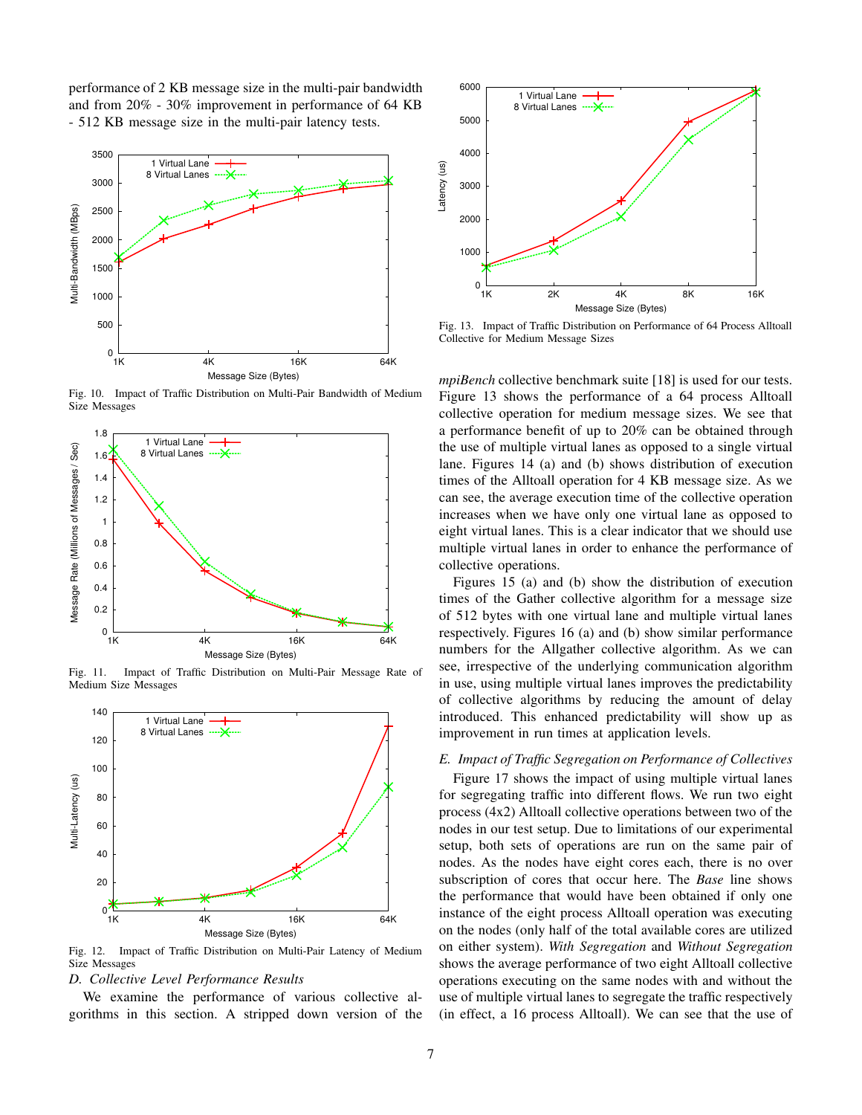performance of 2 KB message size in the multi-pair bandwidth and from 20% - 30% improvement in performance of 64 KB - 512 KB message size in the multi-pair latency tests.



Fig. 10. Impact of Traffic Distribution on Multi-Pair Bandwidth of Medium Size Messages



Fig. 11. Impact of Traffic Distribution on Multi-Pair Message Rate of Medium Size Messages



Fig. 12. Impact of Traffic Distribution on Multi-Pair Latency of Medium Size Messages

## *D. Collective Level Performance Results*

We examine the performance of various collective algorithms in this section. A stripped down version of the



Fig. 13. Impact of Traffic Distribution on Performance of 64 Process Alltoall Collective for Medium Message Sizes

*mpiBench* collective benchmark suite [18] is used for our tests. Figure 13 shows the performance of a 64 process Alltoall collective operation for medium message sizes. We see that a performance benefit of up to 20% can be obtained through the use of multiple virtual lanes as opposed to a single virtual lane. Figures 14 (a) and (b) shows distribution of execution times of the Alltoall operation for 4 KB message size. As we can see, the average execution time of the collective operation increases when we have only one virtual lane as opposed to eight virtual lanes. This is a clear indicator that we should use multiple virtual lanes in order to enhance the performance of collective operations.

Figures 15 (a) and (b) show the distribution of execution times of the Gather collective algorithm for a message size of 512 bytes with one virtual lane and multiple virtual lanes respectively. Figures 16 (a) and (b) show similar performance numbers for the Allgather collective algorithm. As we can see, irrespective of the underlying communication algorithm in use, using multiple virtual lanes improves the predictability of collective algorithms by reducing the amount of delay introduced. This enhanced predictability will show up as improvement in run times at application levels.

# *E. Impact of Traffic Segregation on Performance of Collectives*

Figure 17 shows the impact of using multiple virtual lanes for segregating traffic into different flows. We run two eight process (4x2) Alltoall collective operations between two of the nodes in our test setup. Due to limitations of our experimental setup, both sets of operations are run on the same pair of nodes. As the nodes have eight cores each, there is no over subscription of cores that occur here. The *Base* line shows the performance that would have been obtained if only one instance of the eight process Alltoall operation was executing on the nodes (only half of the total available cores are utilized on either system). *With Segregation* and *Without Segregation* shows the average performance of two eight Alltoall collective operations executing on the same nodes with and without the use of multiple virtual lanes to segregate the traffic respectively (in effect, a 16 process Alltoall). We can see that the use of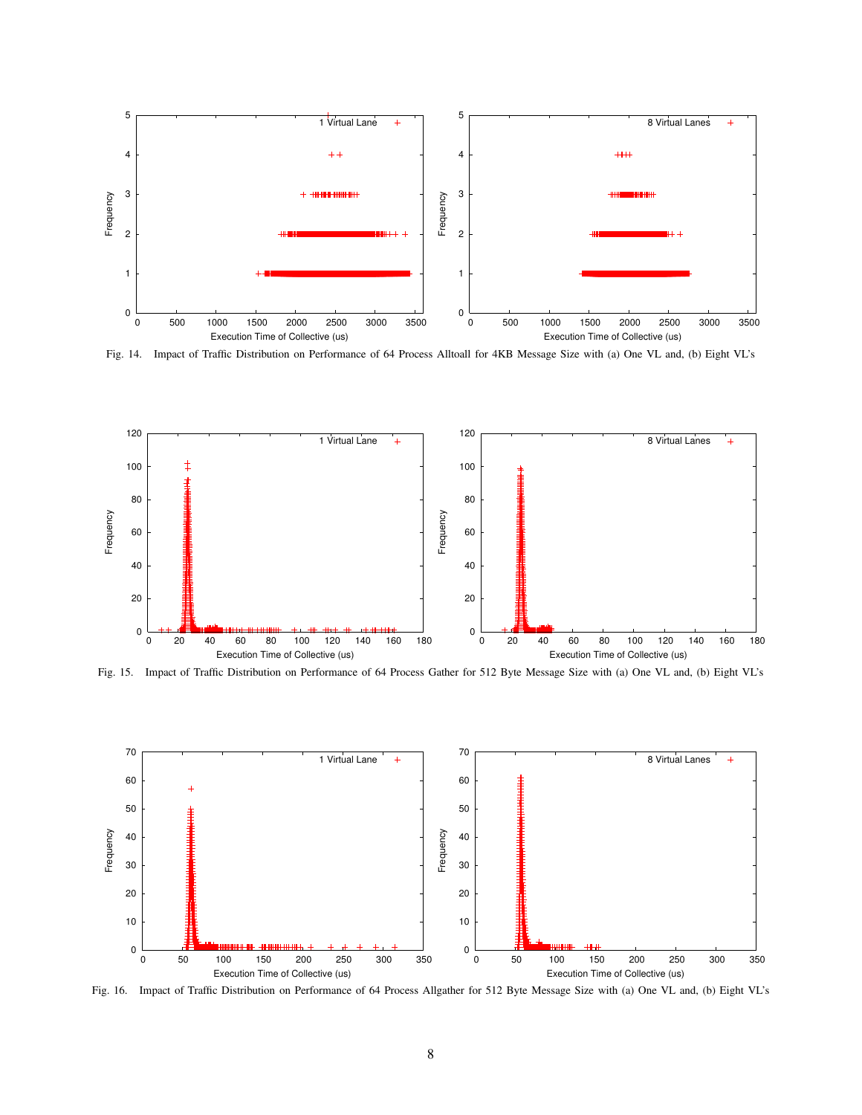

Fig. 14. Impact of Traffic Distribution on Performance of 64 Process Alltoall for 4KB Message Size with (a) One VL and, (b) Eight VL's



Fig. 15. Impact of Traffic Distribution on Performance of 64 Process Gather for 512 Byte Message Size with (a) One VL and, (b) Eight VL's



Fig. 16. Impact of Traffic Distribution on Performance of 64 Process Allgather for 512 Byte Message Size with (a) One VL and, (b) Eight VL's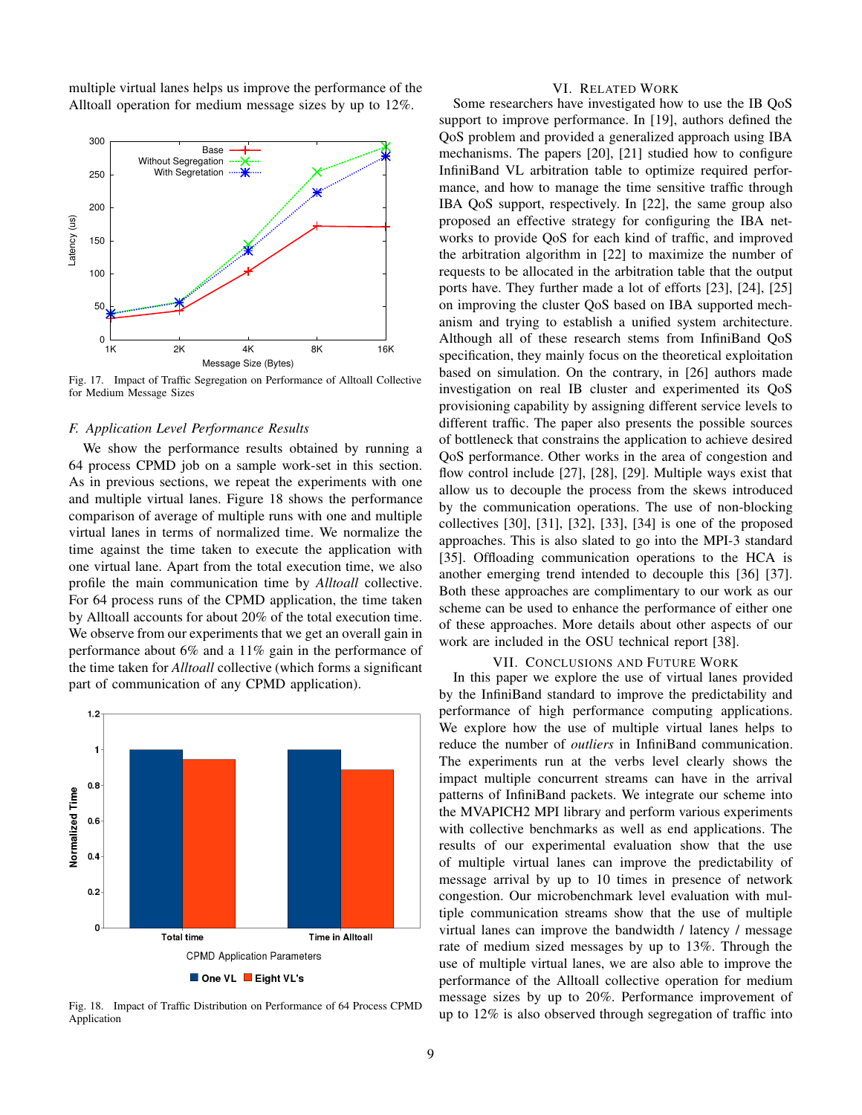multiple virtual lanes helps us improve the performance of the Alltoall operation for medium message sizes by up to 12%.



Fig. 17. Impact of Traffic Segregation on Performance of Alltoall Collective for Medium Message Sizes

# *F. Application Level Performance Results*

We show the performance results obtained by running a 64 process CPMD job on a sample work-set in this section. As in previous sections, we repeat the experiments with one and multiple virtual lanes. Figure 18 shows the performance comparison of average of multiple runs with one and multiple virtual lanes in terms of normalized time. We normalize the time against the time taken to execute the application with one virtual lane. Apart from the total execution time, we also profile the main communication time by *Alltoall* collective. For 64 process runs of the CPMD application, the time taken by Alltoall accounts for about 20% of the total execution time. We observe from our experiments that we get an overall gain in performance about 6% and a 11% gain in the performance of the time taken for *Alltoall* collective (which forms a significant part of communication of any CPMD application).



Fig. 18. Impact of Traffic Distribution on Performance of 64 Process CPMD Application

## VI. RELATED WORK

Some researchers have investigated how to use the IB QoS support to improve performance. In [19], authors defined the QoS problem and provided a generalized approach using IBA mechanisms. The papers [20], [21] studied how to configure InfiniBand VL arbitration table to optimize required performance, and how to manage the time sensitive traffic through IBA QoS support, respectively. In [22], the same group also proposed an effective strategy for configuring the IBA networks to provide QoS for each kind of traffic, and improved the arbitration algorithm in [22] to maximize the number of requests to be allocated in the arbitration table that the output ports have. They further made a lot of efforts [23], [24], [25] on improving the cluster QoS based on IBA supported mechanism and trying to establish a unified system architecture. Although all of these research stems from InfiniBand QoS specification, they mainly focus on the theoretical exploitation based on simulation. On the contrary, in [26] authors made investigation on real IB cluster and experimented its QoS provisioning capability by assigning different service levels to different traffic. The paper also presents the possible sources of bottleneck that constrains the application to achieve desired QoS performance. Other works in the area of congestion and flow control include [27], [28], [29]. Multiple ways exist that allow us to decouple the process from the skews introduced by the communication operations. The use of non-blocking collectives [30], [31], [32], [33], [34] is one of the proposed approaches. This is also slated to go into the MPI-3 standard [35]. Offloading communication operations to the HCA is another emerging trend intended to decouple this [36] [37]. Both these approaches are complimentary to our work as our scheme can be used to enhance the performance of either one of these approaches. More details about other aspects of our work are included in the OSU technical report [38].

#### VII. CONCLUSIONS AND FUTURE WORK

In this paper we explore the use of virtual lanes provided by the InfiniBand standard to improve the predictability and performance of high performance computing applications. We explore how the use of multiple virtual lanes helps to reduce the number of *outliers* in InfiniBand communication. The experiments run at the verbs level clearly shows the impact multiple concurrent streams can have in the arrival patterns of InfiniBand packets. We integrate our scheme into the MVAPICH2 MPI library and perform various experiments with collective benchmarks as well as end applications. The results of our experimental evaluation show that the use of multiple virtual lanes can improve the predictability of message arrival by up to 10 times in presence of network congestion. Our microbenchmark level evaluation with multiple communication streams show that the use of multiple virtual lanes can improve the bandwidth / latency / message rate of medium sized messages by up to 13%. Through the use of multiple virtual lanes, we are also able to improve the performance of the Alltoall collective operation for medium message sizes by up to 20%. Performance improvement of up to 12% is also observed through segregation of traffic into